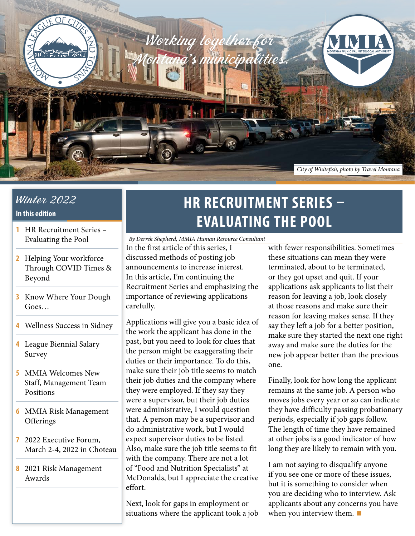

# Winter 2022

#### **In this edition**

- **1** HR Recruitment Series Evaluating the Pool
- **2** [Helping Your workforce](#page-1-0)  [Through COVID Times &](#page-1-0)  [Beyond](#page-1-0)
- **3** [Know Where Your Dough](#page-2-0)  [Goes…](#page-2-0)
- **4** [Wellness Success in Sidney](#page-3-0)
- **4** [League Biennial Salary](#page-3-0)  [Survey](#page-3-0)
- **5** [MMIA Welcomes New](#page-4-0)  [Staff, Management Team](#page-4-0)  [Positions](#page-4-0)
- **6** [MMIA Risk Management](#page-5-0)  **[Offerings](#page-5-0)**
- **7** [2022 Executive Forum,](#page-6-0)  [March 2-4, 2022 in Choteau](#page-6-0)
- **8** [2021 Risk Management](#page-7-0)  [Awards](#page-7-0)

# **HR RECRUITMENT SERIES – EVALUATING THE POOL**

In the first article of this series, I discussed methods of posting job announcements to increase interest. In this article, I'm continuing the Recruitment Series and emphasizing the importance of reviewing applications carefully. *By Derrek Shepherd, MMIA Human Resource Consultant*

Applications will give you a basic idea of the work the applicant has done in the past, but you need to look for clues that the person might be exaggerating their duties or their importance. To do this, make sure their job title seems to match their job duties and the company where they were employed. If they say they were a supervisor, but their job duties were administrative, I would question that. A person may be a supervisor and do administrative work, but I would expect supervisor duties to be listed. Also, make sure the job title seems to fit with the company. There are not a lot of "Food and Nutrition Specialists" at McDonalds, but I appreciate the creative effort.

Next, look for gaps in employment or situations where the applicant took a job with fewer responsibilities. Sometimes these situations can mean they were terminated, about to be terminated, or they got upset and quit. If your applications ask applicants to list their reason for leaving a job, look closely at those reasons and make sure their reason for leaving makes sense. If they say they left a job for a better position, make sure they started the next one right away and make sure the duties for the new job appear better than the previous one.

Finally, look for how long the applicant remains at the same job. A person who moves jobs every year or so can indicate they have difficulty passing probationary periods, especially if job gaps follow. The length of time they have remained at other jobs is a good indicator of how long they are likely to remain with you.

I am not saying to disqualify anyone if you see one or more of these issues, but it is something to consider when you are deciding who to interview. Ask applicants about any concerns you have when you interview them. **■**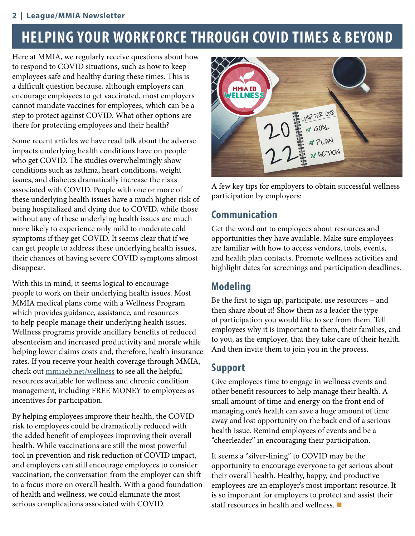#### <span id="page-1-0"></span>**2** *|* **League/MMIA Newsletter**

# **HELPING YOUR WORKFORCE THROUGH COVID TIMES & BEYOND**

Here at MMIA, we regularly receive questions about how to respond to COVID situations, such as how to keep employees safe and healthy during these times. This is a difficult question because, although employers can encourage employees to get vaccinated, most employers cannot mandate vaccines for employees, which can be a step to protect against COVID. What other options are there for protecting employees and their health?

Some recent articles we have read talk about the adverse impacts underlying health conditions have on people who get COVID. The studies overwhelmingly show conditions such as asthma, heart conditions, weight issues, and diabetes dramatically increase the risks associated with COVID. People with one or more of these underlying health issues have a much higher risk of being hospitalized and dying due to COVID, while those without any of these underlying health issues are much more likely to experience only mild to moderate cold symptoms if they get COVID. It seems clear that if we can get people to address these underlying health issues, their chances of having severe COVID symptoms almost disappear.

With this in mind, it seems logical to encourage people to work on their underlying health issues. Most MMIA medical plans come with a Wellness Program which provides guidance, assistance, and resources to help people manage their underlying health issues. Wellness programs provide ancillary benefits of reduced absenteeism and increased productivity and morale while helping lower claims costs and, therefore, health insurance rates. If you receive your health coverage through MMIA, check out [mmiaeb.net/wellness](http://mmiaeb.net/wellness) to see all the helpful resources available for wellness and chronic condition management, including FREE MONEY to employees as incentives for participation.

By helping employees improve their health, the COVID risk to employees could be dramatically reduced with the added benefit of employees improving their overall health. While vaccinations are still the most powerful tool in prevention and risk reduction of COVID impact, and employers can still encourage employees to consider vaccination, the conversation from the employer can shift to a focus more on overall health. With a good foundation of health and wellness, we could eliminate the most serious complications associated with COVID.



A few key tips for employers to obtain successful wellness participation by employees:

## **Communication**

Get the word out to employees about resources and opportunities they have available. Make sure employees are familiar with how to access vendors, tools, events, and health plan contacts. Promote wellness activities and highlight dates for screenings and participation deadlines.

# **Modeling**

Be the first to sign up, participate, use resources – and then share about it! Show them as a leader the type of participation you would like to see from them. Tell employees why it is important to them, their families, and to you, as the employer, that they take care of their health. And then invite them to join you in the process.

# **Support**

Give employees time to engage in wellness events and other benefit resources to help manage their health. A small amount of time and energy on the front end of managing one's health can save a huge amount of time away and lost opportunity on the back end of a serious health issue. Remind employees of events and be a "cheerleader" in encouraging their participation.

It seems a "silver-lining" to COVID may be the opportunity to encourage everyone to get serious about their overall health. Healthy, happy, and productive employees are an employer's most important resource. It is so important for employers to protect and assist their staff resources in health and wellness. **■**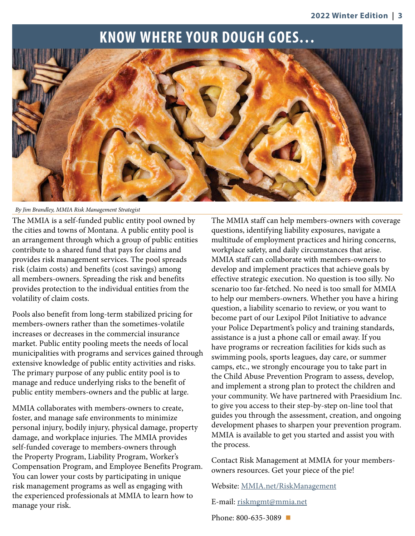# **KNOW WHERE YOUR DOUGH GOES…**

<span id="page-2-0"></span>

*By Jim Brandley, MMIA Risk Management Strategist*

The MMIA is a self-funded public entity pool owned by the cities and towns of Montana. A public entity pool is an arrangement through which a group of public entities contribute to a shared fund that pays for claims and provides risk management services. The pool spreads risk (claim costs) and benefits (cost savings) among all members-owners. Spreading the risk and benefits provides protection to the individual entities from the volatility of claim costs.

Pools also benefit from long-term stabilized pricing for members-owners rather than the sometimes-volatile increases or decreases in the commercial insurance market. Public entity pooling meets the needs of local municipalities with programs and services gained through extensive knowledge of public entity activities and risks. The primary purpose of any public entity pool is to manage and reduce underlying risks to the benefit of public entity members-owners and the public at large.

MMIA collaborates with members-owners to create, foster, and manage safe environments to minimize personal injury, bodily injury, physical damage, property damage, and workplace injuries. The MMIA provides self-funded coverage to members-owners through the Property Program, Liability Program, Worker's Compensation Program, and Employee Benefits Program. You can lower your costs by participating in unique risk management programs as well as engaging with the experienced professionals at MMIA to learn how to manage your risk.

The MMIA staff can help members-owners with coverage questions, identifying liability exposures, navigate a multitude of employment practices and hiring concerns, workplace safety, and daily circumstances that arise. MMIA staff can collaborate with members-owners to develop and implement practices that achieve goals by effective strategic execution. No question is too silly. No scenario too far-fetched. No need is too small for MMIA to help our members-owners. Whether you have a hiring question, a liability scenario to review, or you want to become part of our Lexipol Pilot Initiative to advance your Police Department's policy and training standards, assistance is a just a phone call or email away. If you have programs or recreation facilities for kids such as swimming pools, sports leagues, day care, or summer camps, etc., we strongly encourage you to take part in the Child Abuse Prevention Program to assess, develop, and implement a strong plan to protect the children and your community. We have partnered with Praesidium Inc. to give you access to their step-by-step on-line tool that guides you through the assessment, creation, and ongoing development phases to sharpen your prevention program. MMIA is available to get you started and assist you with the process.

Contact Risk Management at MMIA for your membersowners resources. Get your piece of the pie!

Website: [MMIA.net/RiskManagement](https://MMIA.net/RiskManagement)

E-mail: [riskmgmt@mmia.net](mailto:riskmgmt%40mmia.net?subject=)

Phone: 800-635-3089 **■**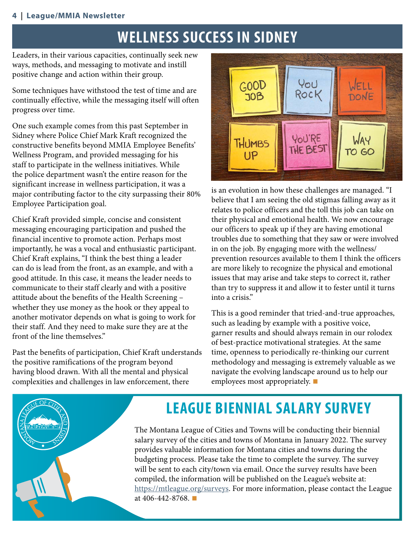#### <span id="page-3-0"></span>**4** *|* **League/MMIA Newsletter**

# **WELLNESS SUCCESS IN SIDNEY**

Leaders, in their various capacities, continually seek new ways, methods, and messaging to motivate and instill positive change and action within their group.

Some techniques have withstood the test of time and are continually effective, while the messaging itself will often progress over time.

One such example comes from this past September in Sidney where Police Chief Mark Kraft recognized the constructive benefits beyond MMIA Employee Benefits' Wellness Program, and provided messaging for his staff to participate in the wellness initiatives. While the police department wasn't the entire reason for the significant increase in wellness participation, it was a major contributing factor to the city surpassing their 80% Employee Participation goal.

Chief Kraft provided simple, concise and consistent messaging encouraging participation and pushed the financial incentive to promote action. Perhaps most importantly, he was a vocal and enthusiastic participant. Chief Kraft explains, "I think the best thing a leader can do is lead from the front, as an example, and with a good attitude. In this case, it means the leader needs to communicate to their staff clearly and with a positive attitude about the benefits of the Health Screening – whether they use money as the hook or they appeal to another motivator depends on what is going to work for their staff. And they need to make sure they are at the front of the line themselves."

Past the benefits of participation, Chief Kraft understands the positive ramifications of the program beyond having blood drawn. With all the mental and physical complexities and challenges in law enforcement, there



is an evolution in how these challenges are managed. "I believe that I am seeing the old stigmas falling away as it relates to police officers and the toll this job can take on their physical and emotional health. We now encourage our officers to speak up if they are having emotional troubles due to something that they saw or were involved in on the job. By engaging more with the wellness/ prevention resources available to them I think the officers are more likely to recognize the physical and emotional issues that may arise and take steps to correct it, rather than try to suppress it and allow it to fester until it turns into a crisis."

This is a good reminder that tried-and-true approaches, such as leading by example with a positive voice, garner results and should always remain in our rolodex of best-practice motivational strategies. At the same time, openness to periodically re-thinking our current methodology and messaging is extremely valuable as we navigate the evolving landscape around us to help our employees most appropriately. **■**



# **LEAGUE BIENNIAL SALARY SURVEY**

The Montana League of Cities and Towns will be conducting their biennial salary survey of the cities and towns of Montana in January 2022. The survey provides valuable information for Montana cities and towns during the budgeting process. Please take the time to complete the survey. The survey will be sent to each city/town via email. Once the survey results have been compiled, the information will be published on the League's website at: <https://mtleague.org/surveys>. For more information, please contact the League at 406-442-8768. **■**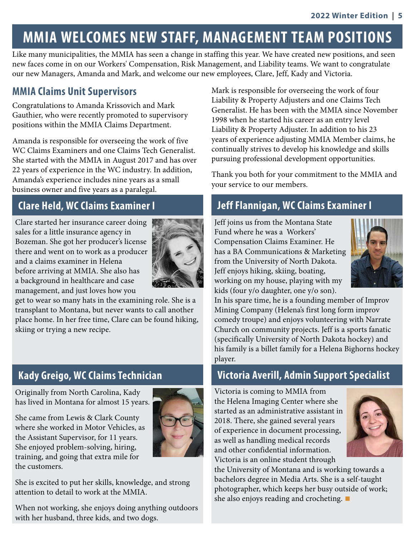# <span id="page-4-0"></span>**MMIA WELCOMES NEW STAFF, MANAGEMENT TEAM POSITIONS**

Like many municipalities, the MMIA has seen a change in staffing this year. We have created new positions, and seen new faces come in on our Workers' Compensation, Risk Management, and Liability teams. We want to congratulate our new Managers, Amanda and Mark, and welcome our new employees, Clare, Jeff, Kady and Victoria.

### **MMIA Claims Unit Supervisors**

Congratulations to Amanda Krissovich and Mark Gauthier, who were recently promoted to supervisory positions within the MMIA Claims Department.

Amanda is responsible for overseeing the work of five WC Claims Examiners and one Claims Tech Generalist. She started with the MMIA in August 2017 and has over 22 years of experience in the WC industry. In addition, Amanda's experience includes nine years as a small business owner and five years as a paralegal.

Clare started her insurance career doing sales for a little insurance agency in Bozeman. She got her producer's license there and went on to work as a producer and a claims examiner in Helena before arriving at MMIA. She also has a background in healthcare and case management, and just loves how you



get to wear so many hats in the examining role. She is a transplant to Montana, but never wants to call another place home. In her free time, Clare can be found hiking, skiing or trying a new recipe.

## **Kady Greigo, WC Claims Technician**

Originally from North Carolina, Kady has lived in Montana for almost 15 years.

She came from Lewis & Clark County where she worked in Motor Vehicles, as the Assistant Supervisor, for 11 years. She enjoyed problem-solving, hiring, training, and going that extra mile for the customers.



She is excited to put her skills, knowledge, and strong attention to detail to work at the MMIA.

When not working, she enjoys doing anything outdoors with her husband, three kids, and two dogs.

Mark is responsible for overseeing the work of four Liability & Property Adjusters and one Claims Tech Generalist. He has been with the MMIA since November 1998 when he started his career as an entry level Liability & Property Adjuster. In addition to his 23 years of experience adjusting MMIA Member claims, he continually strives to develop his knowledge and skills pursuing professional development opportunities.

Thank you both for your commitment to the MMIA and your service to our members.

# **Clare Held, WC Claims Examiner I Jeff Flannigan, WC Claims Examiner I**

Jeff joins us from the Montana State Fund where he was a Workers' Compensation Claims Examiner. He has a BA Communications & Marketing from the University of North Dakota. Jeff enjoys hiking, skiing, boating, working on my house, playing with my kids (four y/o daughter, one y/o son).



In his spare time, he is a founding member of Improv Mining Company (Helena's first long form improv comedy troupe) and enjoys volunteering with Narrate Church on community projects. Jeff is a sports fanatic (specifically University of North Dakota hockey) and his family is a billet family for a Helena Bighorns hockey player.

## **Victoria Averill, Admin Support Specialist**

Victoria is coming to MMIA from the Helena Imaging Center where she started as an administrative assistant in 2018. There, she gained several years of experience in document processing, as well as handling medical records and other confidential information. Victoria is an online student through



the University of Montana and is working towards a bachelors degree in Media Arts. She is a self-taught photographer, which keeps her busy outside of work; she also enjoys reading and crocheting. **■**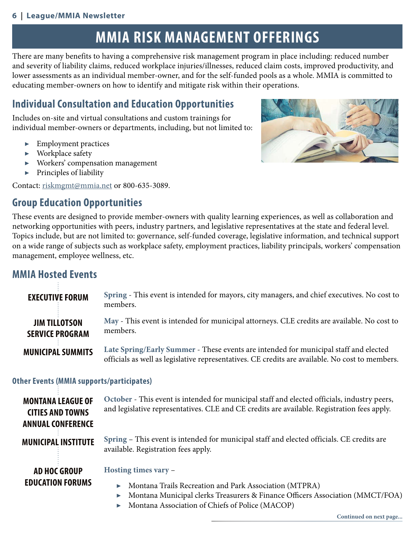#### <span id="page-5-0"></span>**6** *|* **League/MMIA Newsletter**

# **MMIA RISK MANAGEMENT OFFERINGS**

There are many benefits to having a comprehensive risk management program in place including: reduced number and severity of liability claims, reduced workplace injuries/illnesses, reduced claim costs, improved productivity, and lower assessments as an individual member-owner, and for the self-funded pools as a whole. MMIA is committed to educating member-owners on how to identify and mitigate risk within their operations.

# **Individual Consultation and Education Opportunities**

Includes on-site and virtual consultations and custom trainings for individual member-owners or departments, including, but not limited to:

- ▶ Employment practices
- ▶ Workplace safety
- Workers' compensation management
- ▶ Principles of liability

Contact: [riskmgmt@mmia.net](file:riskmgmt%40mmia.net) or 800-635-3089.

# **Group Education Opportunities**



These events are designed to provide member-owners with quality learning experiences, as well as collaboration and networking opportunities with peers, industry partners, and legislative representatives at the state and federal level. Topics include, but are not limited to: governance, self-funded coverage, legislative information, and technical support on a wide range of subjects such as workplace safety, employment practices, liability principals, workers' compensation management, employee wellness, etc.

## **MMIA Hosted Events**

| <b>EXECUTIVE FORUM</b>                         | Spring - This event is intended for mayors, city managers, and chief executives. No cost to<br>members.                                                                                 |
|------------------------------------------------|-----------------------------------------------------------------------------------------------------------------------------------------------------------------------------------------|
| <b>JIM TILLOTSON</b><br><b>SERVICE PROGRAM</b> | May - This event is intended for municipal attorneys. CLE credits are available. No cost to<br>members.                                                                                 |
| <b>MUNICIPAL SUMMITS</b>                       | Late Spring/Early Summer - These events are intended for municipal staff and elected<br>officials as well as legislative representatives. CE credits are available. No cost to members. |

#### **Other Events (MMIA supports/participates)**

| <b>MONTANA LEAGUE OF</b><br><b>CITIES AND TOWNS</b><br><b>ANNUAL CONFERENCE</b> | October - This event is intended for municipal staff and elected officials, industry peers,<br>and legislative representatives. CLE and CE credits are available. Registration fees apply. |
|---------------------------------------------------------------------------------|--------------------------------------------------------------------------------------------------------------------------------------------------------------------------------------------|
| <b>MUNICIPAL INSTITUTE</b>                                                      | Spring – This event is intended for municipal staff and elected officials. CE credits are<br>available. Registration fees apply.                                                           |
| <b>AD HOC GROUP</b>                                                             | Hosting times vary -                                                                                                                                                                       |
| <b>EDUCATION FORUMS</b>                                                         | • Montana Trails Recreation and Park Association (MTPRA)                                                                                                                                   |

- ▶ Montana Municipal clerks Treasurers & Finance Officers Association (MMCT/FOA)
- ▶ Montana Association of Chiefs of Police (MACOP)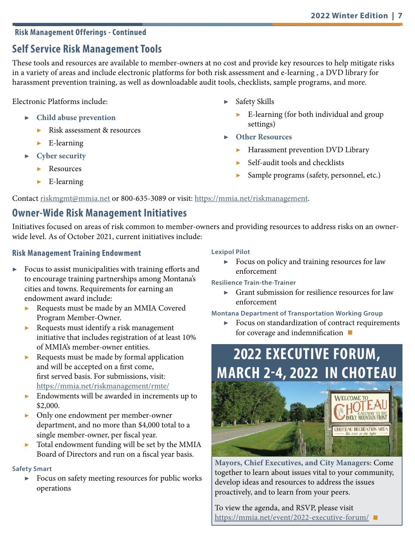#### <span id="page-6-0"></span>**Risk Management Offerings - Continued**

## **Self Service Risk Management Tools**

These tools and resources are available to member-owners at no cost and provide key resources to help mitigate risks in a variety of areas and include electronic platforms for both risk assessment and e-learning , a DVD library for harassment prevention training, as well as downloadable audit tools, checklists, sample programs, and more.

Electronic Platforms include:

- ▶ **Child abuse prevention**
	- Risk assessment & resources
	- $\blacktriangleright$  E-learning
- **Cyber security** 
	- **Resources**
	- $\blacktriangleright$  E-learning
- ▶ Safety Skills
	- $\blacktriangleright$  E-learning (for both individual and group settings)
- **Other Resources** 
	- **Harassment prevention DVD Library**
	- Self-audit tools and checklists
	- Sample programs (safety, personnel, etc.)

Contact [riskmgmt@mmia.net](mailto:riskmgmt%40mmia.net?subject=) or 800-635-3089 or visit: [https://mmia.net/riskmanagement](https://mmia.net/riskmanagement/).

## **Owner-Wide Risk Management Initiatives**

Initiatives focused on areas of risk common to member-owners and providing resources to address risks on an ownerwide level. As of October 2021, current initiatives include:

#### **Risk Management Training Endowment**

- $\triangleright$  Focus to assist municipalities with training efforts and to encourage training partnerships among Montana's cities and towns. Requirements for earning an endowment award include:
	- ▶ Requests must be made by an MMIA Covered Program Member-Owner.
	- ▶ Requests must identify a risk management initiative that includes registration of at least 10% of MMIA's member-owner entities.
	- ▶ Requests must be made by formal application and will be accepted on a first come, first served basis. For submissions, visit: <https://mmia.net/riskmanagement/rmte/>
	- ▶ Endowments will be awarded in increments up to \$2,000.
	- ▶ Only one endowment per member-owner department, and no more than \$4,000 total to a single member-owner, per fiscal year.
	- ▶ Total endowment funding will be set by the MMIA Board of Directors and run on a fiscal year basis.

#### **Safety Smart**

Focus on safety meeting resources for public works operations

#### **Lexipol Pilot**

▶ Focus on policy and training resources for law enforcement

#### **Resilience Train-the-Trainer**

▶ Grant submission for resilience resources for law enforcement

#### **Montana Department of Transportation Working Group**

▶ Focus on standardization of contract requirements for coverage and indemnification **■**

# **2022 EXECUTIVE FORUM, MARCH 2-4, 2022 IN CHOTEAU**



**Mayors, Chief Executives, and City Managers:** Come together to learn about issues vital to your community, develop ideas and resources to address the issues proactively, and to learn from your peers.

To view the agenda, and RSVP, please visit <https://mmia.net/event/2022-executive-forum/>**■**